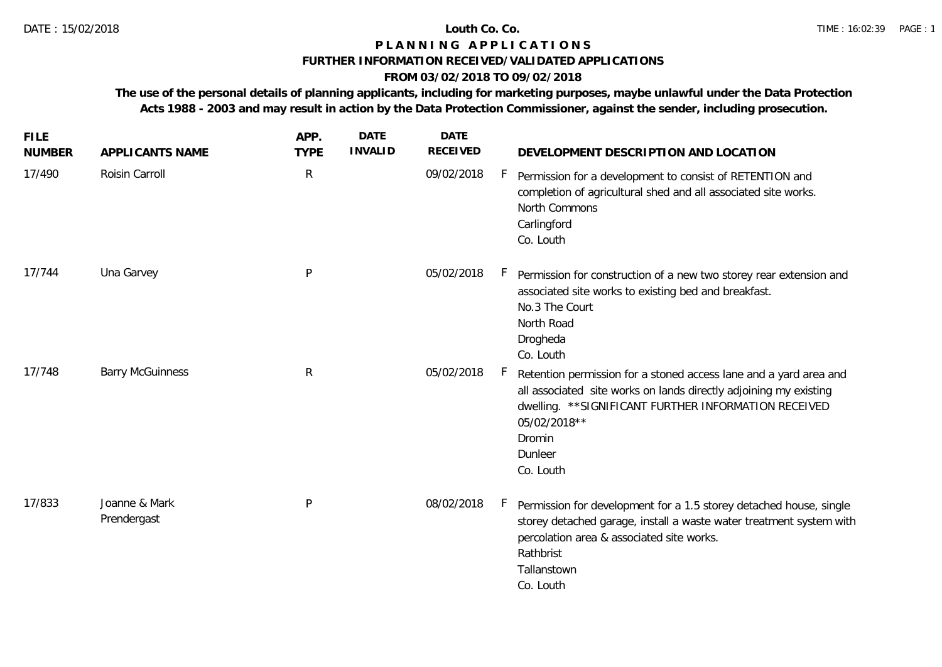### **P L A N N I N G A P P L I C A T I O N S**

## **FURTHER INFORMATION RECEIVED/VALIDATED APPLICATIONS**

# **FROM 03/02/2018 TO 09/02/2018**

**The use of the personal details of planning applicants, including for marketing purposes, maybe unlawful under the Data Protection Acts 1988 - 2003 and may result in action by the Data Protection Commissioner, against the sender, including prosecution.**

| <b>FILE</b><br><b>NUMBER</b> | APPLICANTS NAME              | APP.<br><b>TYPE</b> | <b>DATE</b><br><b>INVALID</b> | <b>DATE</b><br><b>RECEIVED</b> | DEVELOPMENT DESCRIPTION AND LOCATION                                                                                                                                                                                                              |
|------------------------------|------------------------------|---------------------|-------------------------------|--------------------------------|---------------------------------------------------------------------------------------------------------------------------------------------------------------------------------------------------------------------------------------------------|
| 17/490                       | Roisin Carroll               | $\mathsf{R}$        |                               | 09/02/2018                     | $\vdash$<br>Permission for a development to consist of RETENTION and<br>completion of agricultural shed and all associated site works.<br>North Commons<br>Carlingford<br>Co. Louth                                                               |
| 17/744                       | Una Garvey                   | P                   |                               | 05/02/2018                     | Permission for construction of a new two storey rear extension and<br>associated site works to existing bed and breakfast.<br>No.3 The Court<br>North Road<br>Drogheda<br>Co. Louth                                                               |
| 17/748                       | <b>Barry McGuinness</b>      | $\mathsf{R}$        |                               | 05/02/2018                     | Retention permission for a stoned access lane and a yard area and<br>all associated site works on lands directly adjoining my existing<br>dwelling. ** SIGNIFICANT FURTHER INFORMATION RECEIVED<br>05/02/2018**<br>Dromin<br>Dunleer<br>Co. Louth |
| 17/833                       | Joanne & Mark<br>Prendergast | P                   |                               | 08/02/2018                     | $\mathsf{F}$<br>Permission for development for a 1.5 storey detached house, single<br>storey detached garage, install a waste water treatment system with<br>percolation area & associated site works.<br>Rathbrist<br>Tallanstown<br>Co. Louth   |